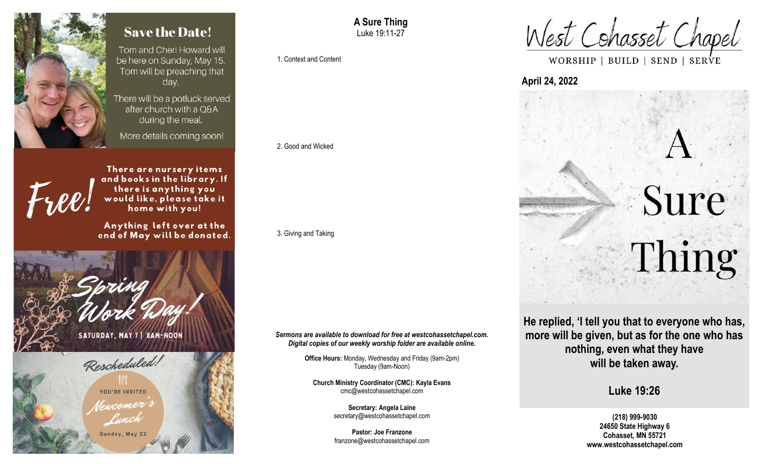

# **Save the Date!**

Tom and Cheri Howard will be here on Sunday, May 15. Tom will be preaching that day.

There will be a potluck served after church with a O&A during the meal.

More details coming soon!

There are nursery items and books in the library. If there is anything you would like, please take it home with you!

Anything left over at the end of May will be donated.





**A Sure Thing** Luke 19:11-27

1. Context and Content

#### 2. Good and Wicked

3. Giving and Taking

*Sermons are available to download for free at westcohassetchapel.com. Digital copies of our weekly worship folder are available online.*

> **Office Hours:** Monday, Wednesday and Friday (9am-2pm) Tuesday (9am-Noon)

**Church Ministry Coordinator (CMC): Kayla Evans** cmc@westcohassetchapel.com

> **Secretary: Angela Laine** secretary@westcohassetchapel.com

> **Pastor: Joe Franzone** franzone@westcohassetchapel.com

West Cohasset Chapel

WORSHIP | BUILD | SEND | SERVE

## **April 24, 2022**



**He replied, 'I tell you that to everyone who has, more will be given, but as for the one who has nothing, even what they have will be taken away.** 

**Luke 19:26**

**(218) 999-9030 24650 State Highway 6 Cohasset, MN 55721 www.westcohassetchapel.com**